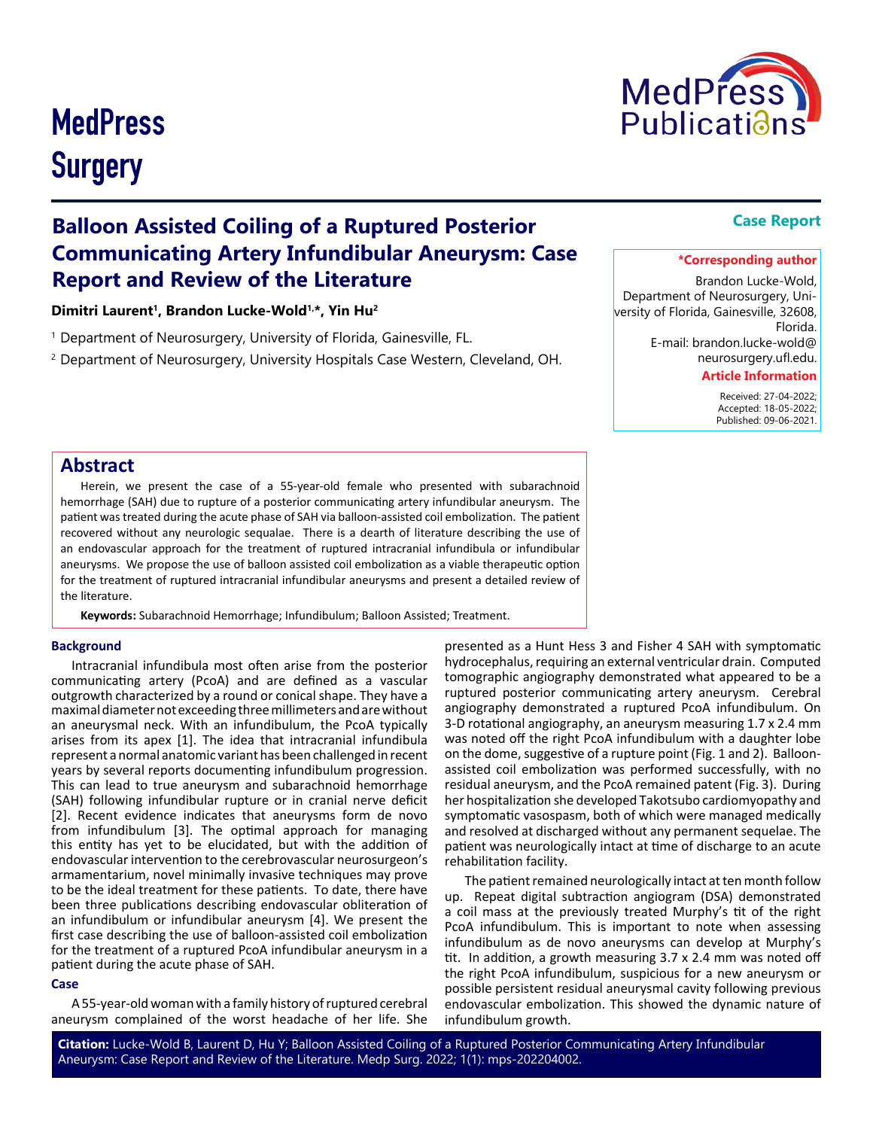# **MedPress Surgery**



# **Balloon Assisted Coiling of a Ruptured Posterior Communicating Artery Infundibular Aneurysm: Case Report and Review of the Literature**

Dimitri Laurent<sup>1</sup>, Brandon Lucke-Wold<sup>1,\*</sup>, Yin Hu<sup>2</sup>

<sup>1</sup> Department of Neurosurgery, University of Florida, Gainesville, FL.

<sup>2</sup> Department of Neurosurgery, University Hospitals Case Western, Cleveland, OH.

### **Case Report**

#### **\*Corresponding author**

Brandon Lucke-Wold, Department of Neurosurgery, University of Florida, Gainesville, 32608, Florida. E-mail: brandon.lucke-wold@

neurosurgery.ufl.edu.

#### **Article Information**

 Received: 27-04-2022; Accepted: 18-05-2022; Published: 09-06-2021.

## **Abstract**

Herein, we present the case of a 55-year-old female who presented with subarachnoid hemorrhage (SAH) due to rupture of a posterior communicating artery infundibular aneurysm. The patient was treated during the acute phase of SAH via balloon-assisted coil embolization. The patient recovered without any neurologic sequalae. There is a dearth of literature describing the use of an endovascular approach for the treatment of ruptured intracranial infundibula or infundibular aneurysms. We propose the use of balloon assisted coil embolization as a viable therapeutic option for the treatment of ruptured intracranial infundibular aneurysms and present a detailed review of the literature.

**Keywords:** Subarachnoid Hemorrhage; Infundibulum; Balloon Assisted; Treatment.

#### **Background**

Intracranial infundibula most often arise from the posterior communicating artery (PcoA) and are defined as a vascular outgrowth characterized by a round or conical shape. They have a maximal diameter not exceeding three millimeters and are without an aneurysmal neck. With an infundibulum, the PcoA typically arises from its apex [1]. The idea that intracranial infundibula represent a normal anatomic variant has been challenged in recent years by several reports documenting infundibulum progression. This can lead to true aneurysm and subarachnoid hemorrhage (SAH) following infundibular rupture or in cranial nerve deficit [2]. Recent evidence indicates that aneurysms form de novo from infundibulum [3]. The optimal approach for managing this entity has yet to be elucidated, but with the addition of endovascular intervention to the cerebrovascular neurosurgeon's armamentarium, novel minimally invasive techniques may prove to be the ideal treatment for these patients. To date, there have been three publications describing endovascular obliteration of an infundibulum or infundibular aneurysm [4]. We present the first case describing the use of balloon-assisted coil embolization for the treatment of a ruptured PcoA infundibular aneurysm in a patient during the acute phase of SAH.

#### **Case**

A 55-year-old woman with a family history of ruptured cerebral aneurysm complained of the worst headache of her life. She presented as a Hunt Hess 3 and Fisher 4 SAH with symptomatic hydrocephalus, requiring an external ventricular drain. Computed tomographic angiography demonstrated what appeared to be a ruptured posterior communicating artery aneurysm. Cerebral angiography demonstrated a ruptured PcoA infundibulum. On 3-D rotational angiography, an aneurysm measuring 1.7 x 2.4 mm was noted off the right PcoA infundibulum with a daughter lobe on the dome, suggestive of a rupture point (Fig. 1 and 2). Balloonassisted coil embolization was performed successfully, with no residual aneurysm, and the PcoA remained patent (Fig. 3). During her hospitalization she developed Takotsubo cardiomyopathy and symptomatic vasospasm, both of which were managed medically and resolved at discharged without any permanent sequelae. The patient was neurologically intact at time of discharge to an acute rehabilitation facility.

The patient remained neurologically intact at ten month follow up. Repeat digital subtraction angiogram (DSA) demonstrated a coil mass at the previously treated Murphy's tit of the right PcoA infundibulum. This is important to note when assessing infundibulum as de novo aneurysms can develop at Murphy's tit. In addition, a growth measuring 3.7 x 2.4 mm was noted off the right PcoA infundibulum, suspicious for a new aneurysm or possible persistent residual aneurysmal cavity following previous endovascular embolization. This showed the dynamic nature of infundibulum growth.

**Citation:** Lucke-Wold B, Laurent D, Hu Y; Balloon Assisted Coiling of a Ruptured Posterior Communicating Artery Infundibular Aneurysm: Case Report and Review of the Literature. Medp Surg. 2022; 1(1): mps-202204002.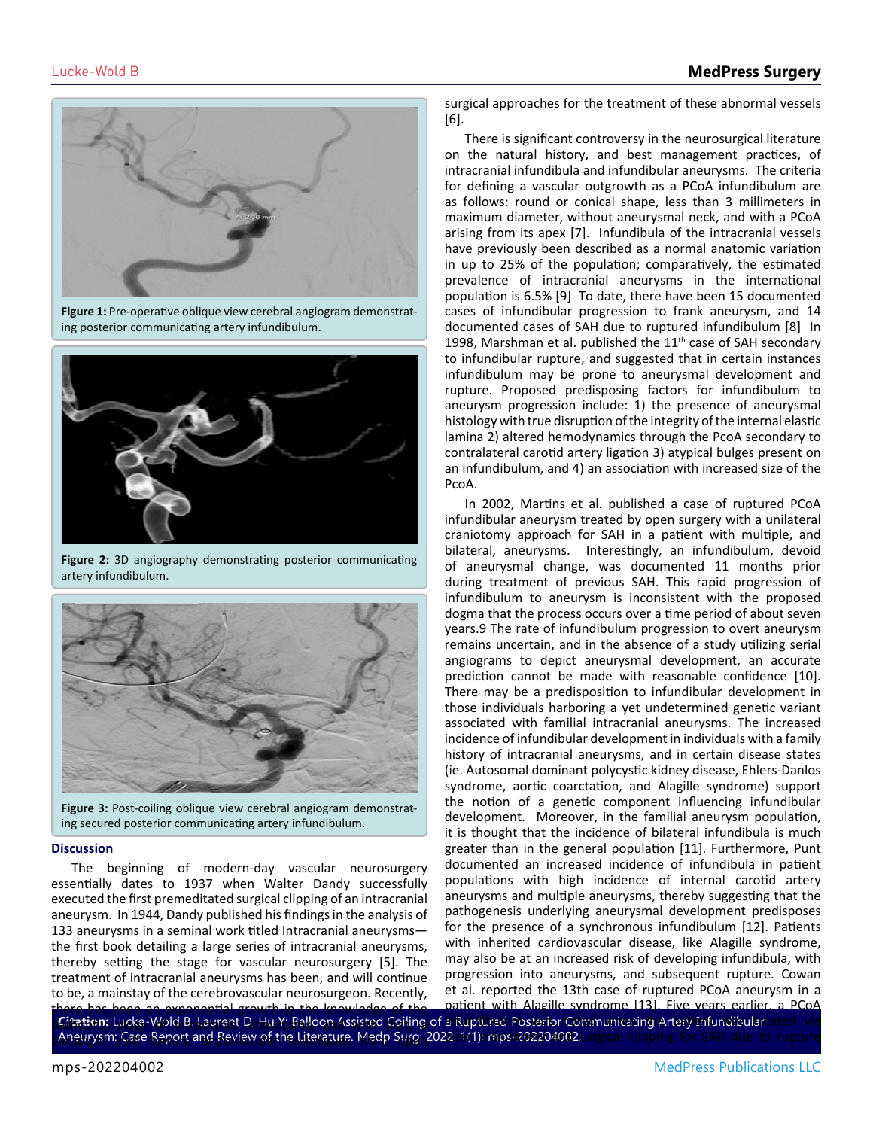

**Figure 1:** Pre-operative oblique view cerebral angiogram demonstrating posterior communicating artery infundibulum.



**Figure 2:** 3D angiography demonstrating posterior communicating artery infundibulum.



**Figure 3:** Post-coiling oblique view cerebral angiogram demonstrating secured posterior communicating artery infundibulum.

#### **Discussion**

The beginning of modern-day vascular neurosurgery essentially dates to 1937 when Walter Dandy successfully executed the first premeditated surgical clipping of an intracranial aneurysm. In 1944, Dandy published his findings in the analysis of 133 aneurysms in a seminal work titled Intracranial aneurysms the first book detailing a large series of intracranial aneurysms, thereby setting the stage for vascular neurosurgery [5]. The treatment of intracranial aneurysms has been, and will continue to be, a mainstay of the cerebrovascular neurosurgeon. Recently,

surgical approaches for the treatment of these abnormal vessels [6].

There is significant controversy in the neurosurgical literature on the natural history, and best management practices, of intracranial infundibula and infundibular aneurysms. The criteria for defining a vascular outgrowth as a PCoA infundibulum are as follows: round or conical shape, less than 3 millimeters in maximum diameter, without aneurysmal neck, and with a PCoA arising from its apex [7]. Infundibula of the intracranial vessels have previously been described as a normal anatomic variation in up to 25% of the population; comparatively, the estimated prevalence of intracranial aneurysms in the international population is 6.5% [9] To date, there have been 15 documented cases of infundibular progression to frank aneurysm, and 14 documented cases of SAH due to ruptured infundibulum [8] In 1998, Marshman et al. published the  $11<sup>th</sup>$  case of SAH secondary to infundibular rupture, and suggested that in certain instances infundibulum may be prone to aneurysmal development and rupture. Proposed predisposing factors for infundibulum to aneurysm progression include: 1) the presence of aneurysmal histology with true disruption of the integrity of the internal elastic lamina 2) altered hemodynamics through the PcoA secondary to contralateral carotid artery ligation 3) atypical bulges present on an infundibulum, and 4) an association with increased size of the PcoA.

In 2002, Martins et al. published a case of ruptured PCoA infundibular aneurysm treated by open surgery with a unilateral craniotomy approach for SAH in a patient with multiple, and bilateral, aneurysms. Interestingly, an infundibulum, devoid of aneurysmal change, was documented 11 months prior during treatment of previous SAH. This rapid progression of infundibulum to aneurysm is inconsistent with the proposed dogma that the process occurs over a time period of about seven years.9 The rate of infundibulum progression to overt aneurysm remains uncertain, and in the absence of a study utilizing serial angiograms to depict aneurysmal development, an accurate prediction cannot be made with reasonable confidence [10]. There may be a predisposition to infundibular development in those individuals harboring a yet undetermined genetic variant associated with familial intracranial aneurysms. The increased incidence of infundibular development in individuals with a family history of intracranial aneurysms, and in certain disease states (ie. Autosomal dominant polycystic kidney disease, Ehlers-Danlos syndrome, aortic coarctation, and Alagille syndrome) support the notion of a genetic component influencing infundibular development. Moreover, in the familial aneurysm population, it is thought that the incidence of bilateral infundibula is much greater than in the general population [11]. Furthermore, Punt documented an increased incidence of infundibula in patient populations with high incidence of internal carotid artery aneurysms and multiple aneurysms, thereby suggesting that the pathogenesis underlying aneurysmal development predisposes for the presence of a synchronous infundibulum [12]. Patients with inherited cardiovascular disease, like Alagille syndrome, may also be at an increased risk of developing infundibula, with progression into aneurysms, and subsequent rupture. Cowan et al. reported the 13th case of ruptured PCoA aneurysm in a patient with Alagille syndrome [13]. Five years earlier, a PCoA

**Citation:** Lucke-Wold B, Laurent D, Hu Y; Balloon Assisted Coiling of a Ruptured Posterior Communicating Artery Infundibular Aneurysm: Case Report and Beview of the Literature. Medp Surg. 2022; 1(1): mps-202204002surgical clipping for SAH due to rupture there has been an exponential growth in the knowledge of the p**Citation:** Lucke-Wold B. Laurent D. Hu Y. Balloon Assisted Coiling of a Ruptured Posterior Communicating Artery Infundibulareated via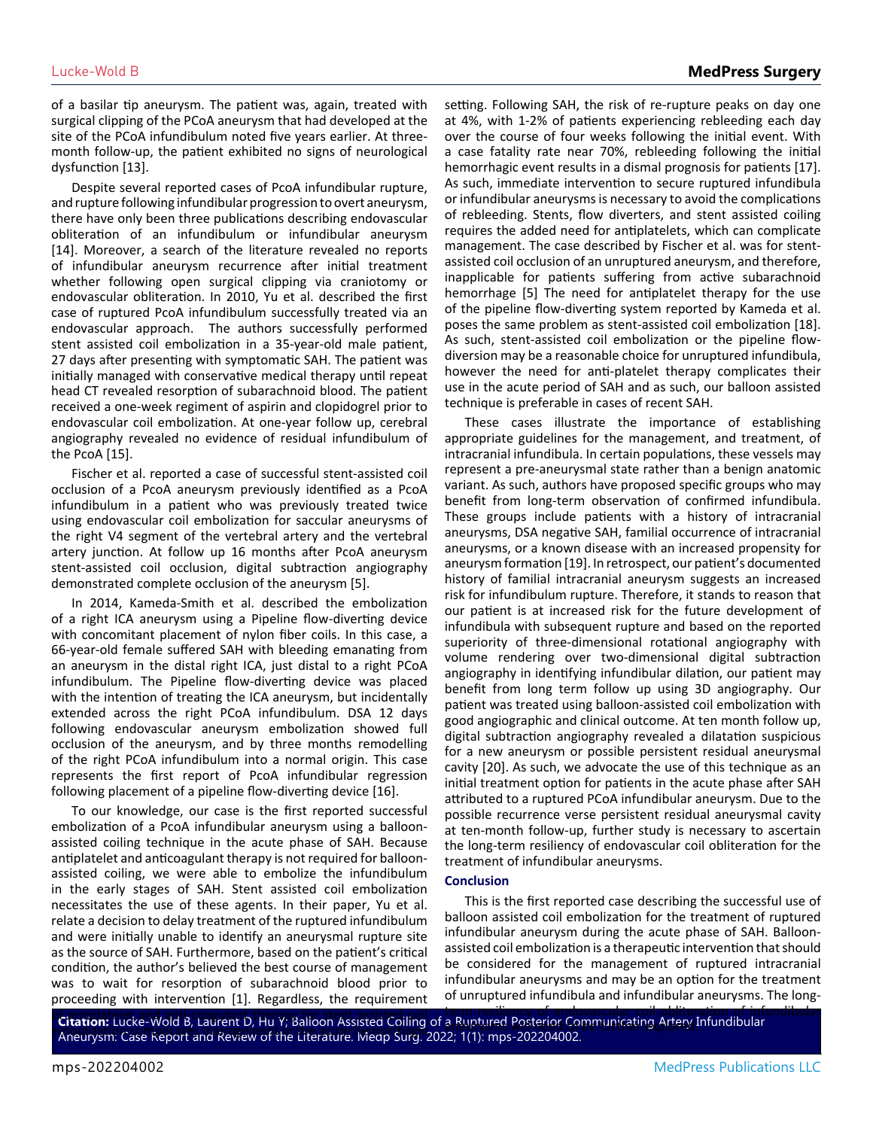of a basilar tip aneurysm. The patient was, again, treated with surgical clipping of the PCoA aneurysm that had developed at the site of the PCoA infundibulum noted five years earlier. At threemonth follow-up, the patient exhibited no signs of neurological dysfunction [13].

Despite several reported cases of PcoA infundibular rupture, and rupture following infundibular progression to overt aneurysm, there have only been three publications describing endovascular obliteration of an infundibulum or infundibular aneurysm [14]. Moreover, a search of the literature revealed no reports of infundibular aneurysm recurrence after initial treatment whether following open surgical clipping via craniotomy or endovascular obliteration. In 2010, Yu et al. described the first case of ruptured PcoA infundibulum successfully treated via an endovascular approach. The authors successfully performed stent assisted coil embolization in a 35-year-old male patient, 27 days after presenting with symptomatic SAH. The patient was initially managed with conservative medical therapy until repeat head CT revealed resorption of subarachnoid blood. The patient received a one-week regiment of aspirin and clopidogrel prior to endovascular coil embolization. At one-year follow up, cerebral angiography revealed no evidence of residual infundibulum of the PcoA [15].

Fischer et al. reported a case of successful stent-assisted coil occlusion of a PcoA aneurysm previously identified as a PcoA infundibulum in a patient who was previously treated twice using endovascular coil embolization for saccular aneurysms of the right V4 segment of the vertebral artery and the vertebral artery junction. At follow up 16 months after PcoA aneurysm stent-assisted coil occlusion, digital subtraction angiography demonstrated complete occlusion of the aneurysm [5].

In 2014, Kameda-Smith et al. described the embolization of a right ICA aneurysm using a Pipeline flow-diverting device with concomitant placement of nylon fiber coils. In this case, a 66-year-old female suffered SAH with bleeding emanating from an aneurysm in the distal right ICA, just distal to a right PCoA infundibulum. The Pipeline flow-diverting device was placed with the intention of treating the ICA aneurysm, but incidentally extended across the right PCoA infundibulum. DSA 12 days following endovascular aneurysm embolization showed full occlusion of the aneurysm, and by three months remodelling of the right PCoA infundibulum into a normal origin. This case represents the first report of PcoA infundibular regression following placement of a pipeline flow-diverting device [16].

To our knowledge, our case is the first reported successful embolization of a PcoA infundibular aneurysm using a balloonassisted coiling technique in the acute phase of SAH. Because antiplatelet and anticoagulant therapy is not required for balloonassisted coiling, we were able to embolize the infundibulum in the early stages of SAH. Stent assisted coil embolization necessitates the use of these agents. In their paper, Yu et al. relate a decision to delay treatment of the ruptured infundibulum and were initially unable to identify an aneurysmal rupture site as the source of SAH. Furthermore, based on the patient's critical condition, the author's believed the best course of management was to wait for resorption of subarachnoid blood prior to proceeding with intervention [1]. Regardless, the requirement

setting. Following SAH, the risk of re-rupture peaks on day one at 4%, with 1-2% of patients experiencing rebleeding each day over the course of four weeks following the initial event. With a case fatality rate near 70%, rebleeding following the initial hemorrhagic event results in a dismal prognosis for patients [17]. As such, immediate intervention to secure ruptured infundibula or infundibular aneurysms is necessary to avoid the complications of rebleeding. Stents, flow diverters, and stent assisted coiling requires the added need for antiplatelets, which can complicate management. The case described by Fischer et al. was for stentassisted coil occlusion of an unruptured aneurysm, and therefore, inapplicable for patients suffering from active subarachnoid hemorrhage [5] The need for antiplatelet therapy for the use of the pipeline flow-diverting system reported by Kameda et al. poses the same problem as stent-assisted coil embolization [18]. As such, stent-assisted coil embolization or the pipeline flowdiversion may be a reasonable choice for unruptured infundibula, however the need for anti-platelet therapy complicates their use in the acute period of SAH and as such, our balloon assisted technique is preferable in cases of recent SAH.

These cases illustrate the importance of establishing appropriate guidelines for the management, and treatment, of intracranial infundibula. In certain populations, these vessels may represent a pre-aneurysmal state rather than a benign anatomic variant. As such, authors have proposed specific groups who may benefit from long-term observation of confirmed infundibula. These groups include patients with a history of intracranial aneurysms, DSA negative SAH, familial occurrence of intracranial aneurysms, or a known disease with an increased propensity for aneurysm formation [19]. In retrospect, our patient's documented history of familial intracranial aneurysm suggests an increased risk for infundibulum rupture. Therefore, it stands to reason that our patient is at increased risk for the future development of infundibula with subsequent rupture and based on the reported superiority of three-dimensional rotational angiography with volume rendering over two-dimensional digital subtraction angiography in identifying infundibular dilation, our patient may benefit from long term follow up using 3D angiography. Our patient was treated using balloon-assisted coil embolization with good angiographic and clinical outcome. At ten month follow up, digital subtraction angiography revealed a dilatation suspicious for a new aneurysm or possible persistent residual aneurysmal cavity [20]. As such, we advocate the use of this technique as an initial treatment option for patients in the acute phase after SAH attributed to a ruptured PCoA infundibular aneurysm. Due to the possible recurrence verse persistent residual aneurysmal cavity at ten-month follow-up, further study is necessary to ascertain the long-term resiliency of endovascular coil obliteration for the treatment of infundibular aneurysms.

#### **Conclusion**

This is the first reported case describing the successful use of balloon assisted coil embolization for the treatment of ruptured infundibular aneurysm during the acute phase of SAH. Balloonassisted coil embolization is a therapeutic intervention that should be considered for the management of ruptured intracranial infundibular aneurysms and may be an option for the treatment of unruptured infundibula and infundibular aneurysms. The long-

of antiplated the collection of infundibular collection of the collection of the collection of infundibular collection of infundibular collection of infundibular collection of infundibular communicating Artery Infundibular Emation: Edene Trold B, Eddreit: B, Hall, Balloch Absisted Colling of a napplement in the acute hemorrhagical<br>Aneurysm: Case Report and Review of the Literature. Medp Surg. 2022; 1(1): mps-202204002. a Ruptured Posterior Communicating Altery.